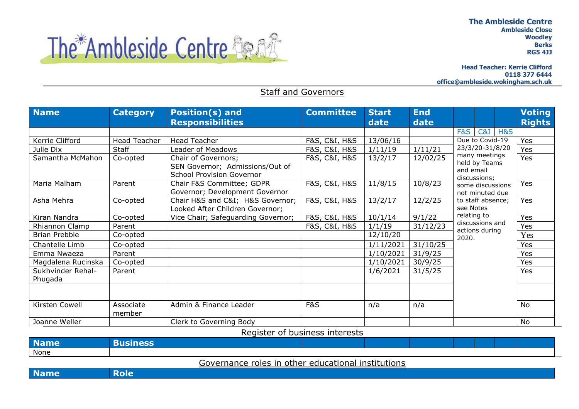

**Head Teacher: Kerrie Clifford 0118 377 6444 office@ambleside.wokingham.sch.uk**



## Staff and Governors

| <b>Name</b>                  | <b>Category</b>     | <b>Position(s) and</b><br><b>Responsibilities</b>                                          | <b>Committee</b> | <b>Start</b><br>date | <b>End</b><br>date |                                                                                                                                                                        |  |                        | <b>Voting</b><br><b>Rights</b> |
|------------------------------|---------------------|--------------------------------------------------------------------------------------------|------------------|----------------------|--------------------|------------------------------------------------------------------------------------------------------------------------------------------------------------------------|--|------------------------|--------------------------------|
|                              |                     |                                                                                            |                  |                      |                    | <b>F&amp;S</b>                                                                                                                                                         |  | <b>C&amp;I H&amp;S</b> |                                |
| Kerrie Clifford              | Head Teacher        | <b>Head Teacher</b>                                                                        | F&S, C&I, H&S    | 13/06/16             |                    | Due to Covid-19                                                                                                                                                        |  |                        | Yes                            |
| Julie Dix                    | Staff               | Leader of Meadows                                                                          | F&S, C&I, H&S    | 1/11/19              | 1/11/21            | 23/3/20-31/8/20<br>many meetings<br>held by Teams<br>and email<br>discussions:<br>some discussions<br>not minuted due<br>to staff absence;<br>see Notes<br>relating to |  |                        | Yes                            |
| Samantha McMahon             | Co-opted            | Chair of Governors;<br>SEN Governor; Admissions/Out of<br><b>School Provision Governor</b> | F&S, C&I, H&S    | 13/2/17              | 12/02/25           |                                                                                                                                                                        |  |                        | Yes                            |
| Maria Malham                 | Parent              | Chair F&S Committee; GDPR<br>Governor; Development Governor                                | F&S, C&I, H&S    | 11/8/15              | 10/8/23            |                                                                                                                                                                        |  |                        | Yes                            |
| Asha Mehra                   | Co-opted            | Chair H&S and C&I H&S Governor;<br>Looked After Children Governor;                         | F&S, C&I, H&S    | 13/2/17              | 12/2/25            |                                                                                                                                                                        |  |                        | Yes                            |
| Kiran Nandra                 | Co-opted            | Vice Chair; Safeguarding Governor;                                                         | F&S, C&I, H&S    | 10/1/14              | 9/1/22             |                                                                                                                                                                        |  |                        | Yes                            |
| Rhiannon Clamp               | Parent              |                                                                                            | F&S, C&I, H&S    | 1/1/19               | 31/12/23           | discussions and                                                                                                                                                        |  | Yes                    |                                |
| <b>Brian Prebble</b>         | Co-opted            |                                                                                            |                  | 12/10/20             |                    | actions during<br>2020.                                                                                                                                                |  |                        | Yes                            |
| Chantelle Limb               | Co-opted            |                                                                                            |                  | 1/11/2021            | 31/10/25           |                                                                                                                                                                        |  | Yes                    |                                |
| Emma Nwaeza                  | Parent              |                                                                                            |                  | 1/10/2021            | 31/9/25            |                                                                                                                                                                        |  | Yes                    |                                |
| Magdalena Rucinska           | Co-opted            |                                                                                            |                  | 1/10/2021            | 30/9/25            |                                                                                                                                                                        |  | Yes                    |                                |
| Sukhvinder Rehal-<br>Phugada | Parent              |                                                                                            |                  | 1/6/2021             | 31/5/25            |                                                                                                                                                                        |  |                        | Yes                            |
|                              |                     |                                                                                            |                  |                      |                    |                                                                                                                                                                        |  |                        |                                |
| Kirsten Cowell               | Associate<br>member | Admin & Finance Leader                                                                     | <b>F&amp;S</b>   | n/a                  | n/a                |                                                                                                                                                                        |  |                        | No                             |
| Joanne Weller                |                     | Clerk to Governing Body                                                                    |                  |                      |                    |                                                                                                                                                                        |  |                        | <b>No</b>                      |

Register of business interests

| <b>N</b> | $P^{\prime}$<br>-- |  |  |  |  |
|----------|--------------------|--|--|--|--|
| None     |                    |  |  |  |  |

Governance roles in other educational institutions

**Name** Role